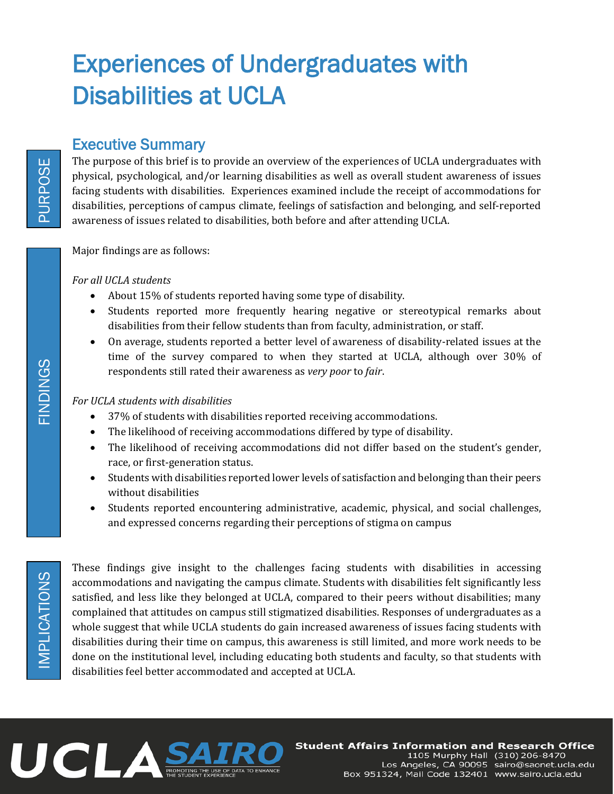# Experiences of Undergraduates with Disabilities at UCLA

# Executive Summary

The purpose of this brief is to provide an overview of the experiences of UCLA undergraduates with physical, psychological, and/or learning disabilities as well as overall student awareness of issues facing students with disabilities. Experiences examined include the receipt of accommodations for disabilities, perceptions of campus climate, feelings of satisfaction and belonging, and self-reported awareness of issues related to disabilities, both before and after attending UCLA.

Major findings are as follows:

*For all UCLA students*

- About 15% of students reported having some type of disability.
- Students reported more frequently hearing negative or stereotypical remarks about disabilities from their fellow students than from faculty, administration, or staff.
- On average, students reported a better level of awareness of disability-related issues at the time of the survey compared to when they started at UCLA, although over 30% of respondents still rated their awareness as *very poor* to *fair*.

#### *For UCLA students with disabilities*

- 37% of students with disabilities reported receiving accommodations.
- The likelihood of receiving accommodations differed by type of disability.
- The likelihood of receiving accommodations did not differ based on the student's gender, race, or first-generation status.
- Students with disabilities reported lower levels of satisfaction and belonging than their peers without disabilities
- Students reported encountering administrative, academic, physical, and social challenges, and expressed concerns regarding their perceptions of stigma on campus

These findings give insight to the challenges facing students with disabilities in accessing accommodations and navigating the campus climate. Students with disabilities felt significantly less satisfied, and less like they belonged at UCLA, compared to their peers without disabilities; many complained that attitudes on campus still stigmatized disabilities. Responses of undergraduates as a whole suggest that while UCLA students do gain increased awareness of issues facing students with disabilities during their time on campus, this awareness is still limited, and more work needs to be done on the institutional level, including educating both students and faculty, so that students with disabilities feel better accommodated and accepted at UCLA.



PURPOSE

**JSOGHUS**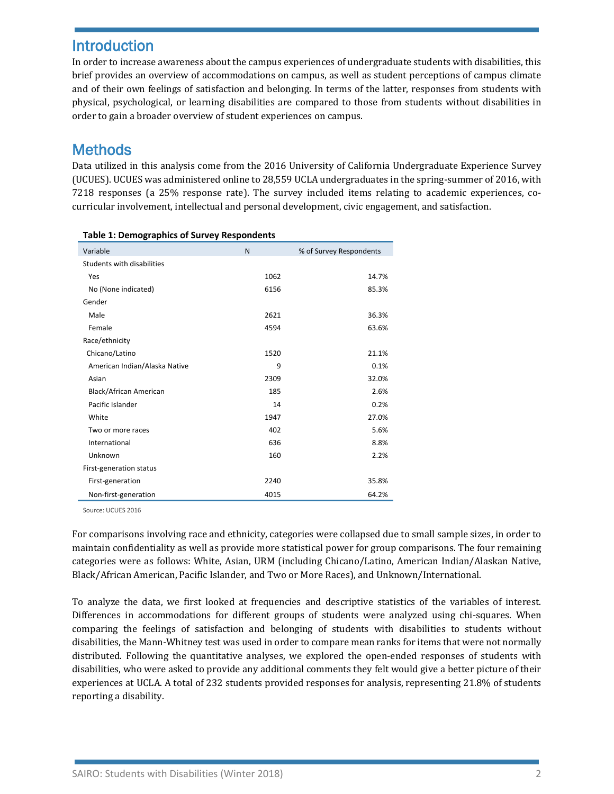# **Introduction**

In order to increase awareness about the campus experiences of undergraduate students with disabilities, this brief provides an overview of accommodations on campus, as well as student perceptions of campus climate and of their own feelings of satisfaction and belonging. In terms of the latter, responses from students with physical, psychological, or learning disabilities are compared to those from students without disabilities in order to gain a broader overview of student experiences on campus.

# **Methods**

Data utilized in this analysis come from the 2016 University of California Undergraduate Experience Survey (UCUES). UCUES was administered online to 28,559 UCLA undergraduates in the spring-summer of 2016, with 7218 responses (a 25% response rate). The survey included items relating to academic experiences, cocurricular involvement, intellectual and personal development, civic engagement, and satisfaction.

| rapic 1. Demographics or survey nespondents |      |                         |
|---------------------------------------------|------|-------------------------|
| Variable                                    | N    | % of Survey Respondents |
| Students with disabilities                  |      |                         |
| Yes                                         | 1062 | 14.7%                   |
| No (None indicated)                         | 6156 | 85.3%                   |
| Gender                                      |      |                         |
| Male                                        | 2621 | 36.3%                   |
| Female                                      | 4594 | 63.6%                   |
| Race/ethnicity                              |      |                         |
| Chicano/Latino                              | 1520 | 21.1%                   |
| American Indian/Alaska Native               | 9    | 0.1%                    |
| Asian                                       | 2309 | 32.0%                   |
| Black/African American                      | 185  | 2.6%                    |
| Pacific Islander                            | 14   | 0.2%                    |
| White                                       | 1947 | 27.0%                   |
| Two or more races                           | 402  | 5.6%                    |
| International                               | 636  | 8.8%                    |
| Unknown                                     | 160  | 2.2%                    |
| First-generation status                     |      |                         |
| First-generation                            | 2240 | 35.8%                   |
| Non-first-generation                        | 4015 | 64.2%                   |

Source: UCUES 2016

For comparisons involving race and ethnicity, categories were collapsed due to small sample sizes, in order to maintain confidentiality as well as provide more statistical power for group comparisons. The four remaining categories were as follows: White, Asian, URM (including Chicano/Latino, American Indian/Alaskan Native, Black/African American, Pacific Islander, and Two or More Races), and Unknown/International.

To analyze the data, we first looked at frequencies and descriptive statistics of the variables of interest. Differences in accommodations for different groups of students were analyzed using chi-squares. When comparing the feelings of satisfaction and belonging of students with disabilities to students without disabilities, the Mann-Whitney test was used in order to compare mean ranks for items that were not normally distributed. Following the quantitative analyses, we explored the open-ended responses of students with disabilities, who were asked to provide any additional comments they felt would give a better picture of their experiences at UCLA. A total of 232 students provided responses for analysis, representing 21.8% of students reporting a disability.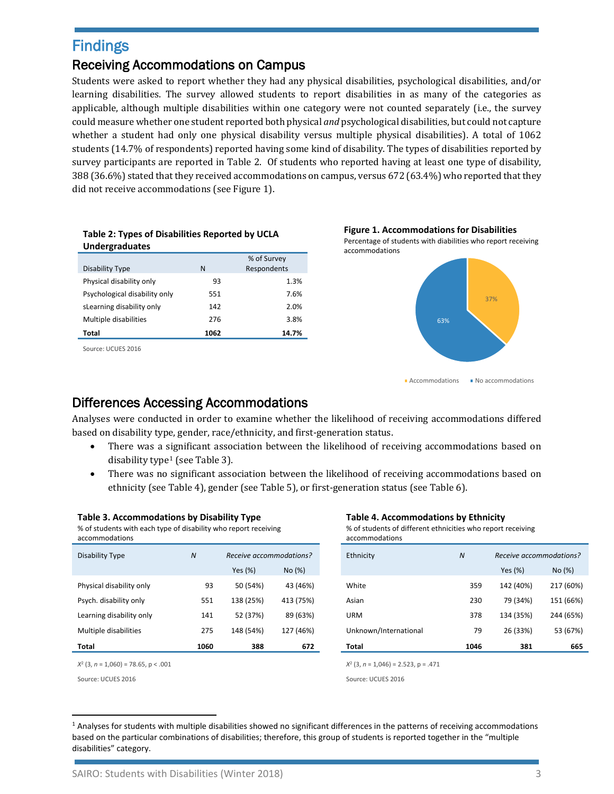# Findings

#### Receiving Accommodations on Campus

Students were asked to report whether they had any physical disabilities, psychological disabilities, and/or learning disabilities. The survey allowed students to report disabilities in as many of the categories as applicable, although multiple disabilities within one category were not counted separately (i.e., the survey could measure whether one student reported both physical *and* psychological disabilities, but could not capture whether a student had only one physical disability versus multiple physical disabilities). A total of 1062 students (14.7% of respondents) reported having some kind of disability. The types of disabilities reported by survey participants are reported in Table 2. Of students who reported having at least one type of disability, 388 (36.6%) stated that they received accommodations on campus, versus 672 (63.4%) who reported that they did not receive accommodations (see Figure 1).

| <b>Undergraduates</b>         |      |                            |
|-------------------------------|------|----------------------------|
| Disability Type               | N    | % of Survey<br>Respondents |
| Physical disability only      | 93   | 1.3%                       |
| Psychological disability only | 551  | 7.6%                       |
| sLearning disability only     | 142  | 2.0%                       |
| Multiple disabilities         | 276  | 3.8%                       |
| Total                         | 1062 | 14.7%                      |

**Table 2: Types of Disabilities Reported by UCLA** 

Source: UCUES 2016



**Accommodations** No accommodations

### Differences Accessing Accommodations

Analyses were conducted in order to examine whether the likelihood of receiving accommodations differed based on disability type, gender, race/ethnicity, and first-generation status.

- There was a significant association between the likelihood of receiving accommodations based on disability type[1](#page-2-0) (see Table 3).
- There was no significant association between the likelihood of receiving accommodations based on ethnicity (see Table 4), gender (see Table 5), or first-generation status (see Table 6).

#### **Table 3. Accommodations by Disability Type Table 4. Accommodations by Ethnicity**

% of students with each type of disability who report receiving accommodations

# Disability Type **N Receive accommodations?** Physical disability only 93 50 (54%) 43 (46%) Psych. disability only 551 138 (25%) 413 (75%) Learning disability only 141 52 (37%) 89 (63%) Multiple disabilities 275 148 (54%) 127 (46%)

% of students of different ethnicities who report receiving accommodations

| Total                    | 1060             | 388                     | 672       | Total      |                       | 1046           | 381                     | 665       |
|--------------------------|------------------|-------------------------|-----------|------------|-----------------------|----------------|-------------------------|-----------|
| Multiple disabilities    | 275              | 148 (54%)               | 127 (46%) |            | Unknown/International | 79             | 26 (33%)                | 53 (67%)  |
| Learning disability only | 141              | 52 (37%)                | 89 (63%)  | <b>URM</b> |                       | 378            | 134 (35%)               | 244 (65%) |
| Psych. disability only   | 551              | 138 (25%)               | 413 (75%) | Asian      |                       | 230            | 79 (34%)                | 151 (66%) |
| Physical disability only | 93               | 50 (54%)                | 43 (46%)  | White      |                       | 359            | 142 (40%)               | 217 (60%) |
|                          |                  | Yes (%)                 | No(%)     |            |                       |                | Yes (%)                 | No(%)     |
| Disability Type          | $\boldsymbol{N}$ | Receive accommodations? |           | Ethnicity  |                       | $\overline{N}$ | Receive accommodations? |           |

*X*<sup>2</sup> (3, *n* = 1,060) = 78.65, p < .001 *X*<sup>2</sup> (3, *n* = 1,046) = 2.523, p = .471

Source: UCUES 2016 Source: UCUES 2016

<span id="page-2-0"></span><sup>&</sup>lt;sup>1</sup> Analyses for students with multiple disabilities showed no significant differences in the patterns of receiving accommodations based on the particular combinations of disabilities; therefore, this group of students is reported together in the "multiple disabilities" category.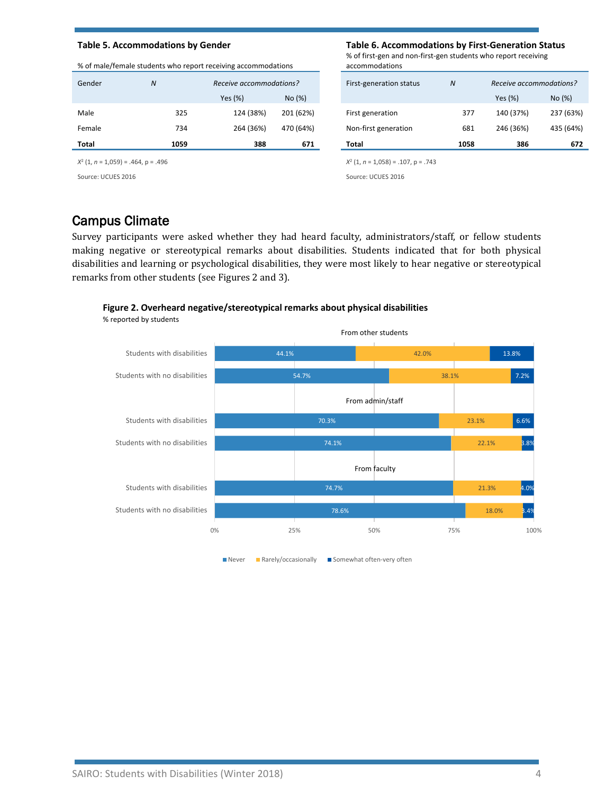|        | 70 OF HIGHC/TCHIGIC StadChts WHO TCDOTTTCCCIVING accommodations |                         |           | accommodations          |                  |                         |          |
|--------|-----------------------------------------------------------------|-------------------------|-----------|-------------------------|------------------|-------------------------|----------|
| Gender | $\boldsymbol{N}$                                                | Receive accommodations? |           | First-generation status | $\boldsymbol{N}$ | Receive accommodations? |          |
|        |                                                                 | Yes (%)                 | No(%)     |                         |                  | Yes (%)                 | No(%)    |
| Male   | 325                                                             | 124 (38%)               | 201 (62%) | First generation        | 377              | 140 (37%)               | 237 (639 |
| Female | 734                                                             | 264 (36%)               | 470 (64%) | Non-first generation    | 681              | 246 (36%)               | 435 (649 |
| Total  | 1059                                                            | 388                     | 671       | Total                   | 1058             | 386                     | 67       |

#### % of male/female students who report receiving accommodations

#### *X*<sup>2</sup> (1, *n* = 1,059) = .464, p = .496 *X*<sup>2</sup> (1, *n* = 1,058) = .107, p = .743

#### **Table 5. Accommodations by Gender Table 6. Accommodations by First-Generation Status**

% of first-gen and non-first-gen students who report receiving accommodations

| Total  | 1059         | 388                     | 671       | Total                   | 1058         | 386                     | 672       |
|--------|--------------|-------------------------|-----------|-------------------------|--------------|-------------------------|-----------|
| Female | 734          | 264 (36%)               | 470 (64%) | Non-first generation    | 681          | 246 (36%)               | 435 (64%) |
| Male   | 325          | 124 (38%)               | 201 (62%) | First generation        | 377          | 140 (37%)               | 237 (63%) |
|        |              | Yes (%)                 | No(%)     |                         |              | Yes (%)                 | No (%)    |
| Gender | $\mathcal N$ | Receive accommodations? |           | First-generation status | $\mathcal N$ | Receive accommodations? |           |

Source: UCUES 2016 Source: UCUES 2016

# Campus Climate

Survey participants were asked whether they had heard faculty, administrators/staff, or fellow students making negative or stereotypical remarks about disabilities. Students indicated that for both physical disabilities and learning or psychological disabilities, they were most likely to hear negative or stereotypical remarks from other students (se[e Figures 2 and 3\)](#page-10-0).

#### **Figure 2. Overheard negative/stereotypical remarks about physical disabilities**

% reported by students



Never Rarely/occasionally Somewhat often-very often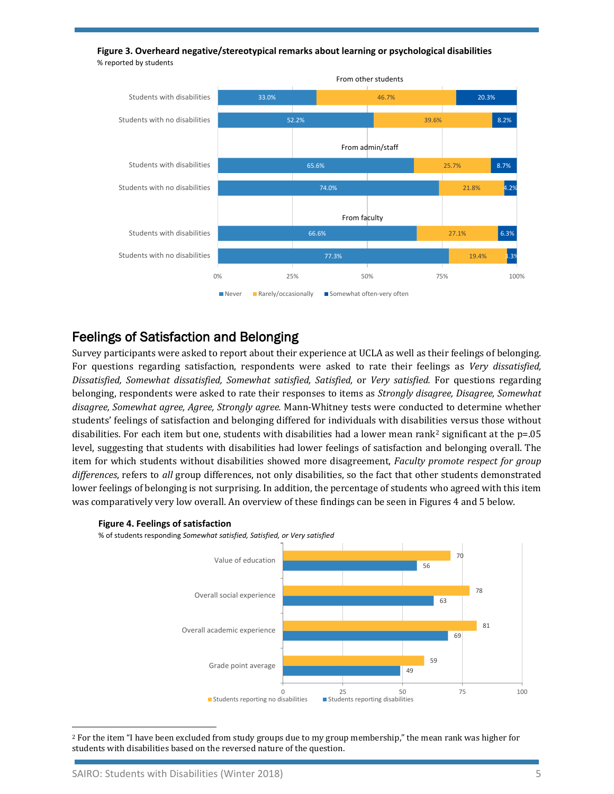

**Figure 3. Overheard negative/stereotypical remarks about learning or psychological disabilities** % reported by students

# Feelings of Satisfaction and Belonging

Survey participants were asked to report about their experience at UCLA as well as their feelings of belonging. For questions regarding satisfaction, respondents were asked to rate their feelings as *Very dissatisfied, Dissatisfied, Somewhat dissatisfied, Somewhat satisfied, Satisfied,* or *Very satisfied.* For questions regarding belonging, respondents were asked to rate their responses to items as *Strongly disagree, Disagree, Somewhat disagree, Somewhat agree, Agree, Strongly agree.* Mann-Whitney tests were conducted to determine whether students' feelings of satisfaction and belonging differed for individuals with disabilities versus those without disabilities. For each item but one, students with disabilities had a lower mean rank[2](#page-4-0) significant at the p=.05 level, suggesting that students with disabilities had lower feelings of satisfaction and belonging overall. The item for which students without disabilities showed more disagreement, *Faculty promote respect for group differences*, refers to *all* group differences, not only disabilities, so the fact that other students demonstrated lower feelings of belonging is not surprising. In addition, the percentage of students who agreed with this item was comparatively very low overall. An overview of these findings can be seen i[n Figures 4 and 5](#page-11-0) below.



#### **Figure 4. Feelings of satisfaction**

% of students responding *Somewhat satisfied, Satisfied, or Very satisfied*

 $\overline{\phantom{a}}$ 

<span id="page-4-0"></span><sup>&</sup>lt;sup>2</sup> For the item "I have been excluded from study groups due to my group membership," the mean rank was higher for students with disabilities based on the reversed nature of the question.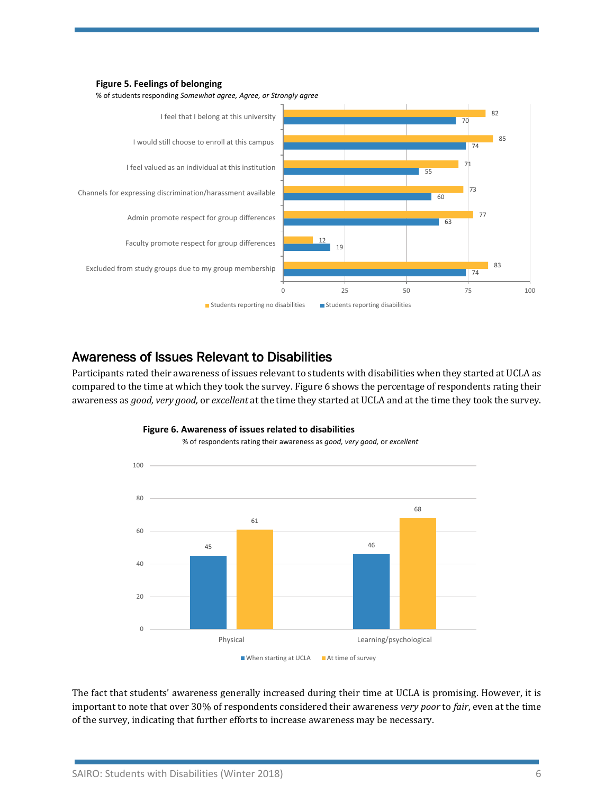



### Awareness of Issues Relevant to Disabilities

Participants rated their awareness of issues relevant to students with disabilities when they started at UCLA as compared to the time at which they took the survey. [Figure 6](#page-11-1) shows the percentage of respondents rating their awareness as *good, very good,* or *excellent* at the time they started at UCLA and at the time they took the survey.



#### **Figure 6. Awareness of issues related to disabilities** % of respondents rating their awareness as *good, very good,* or *excellent*

The fact that students' awareness generally increased during their time at UCLA is promising. However, it is important to note that over 30% of respondents considered their awareness *very poor* to *fair*, even at the time of the survey, indicating that further efforts to increase awareness may be necessary.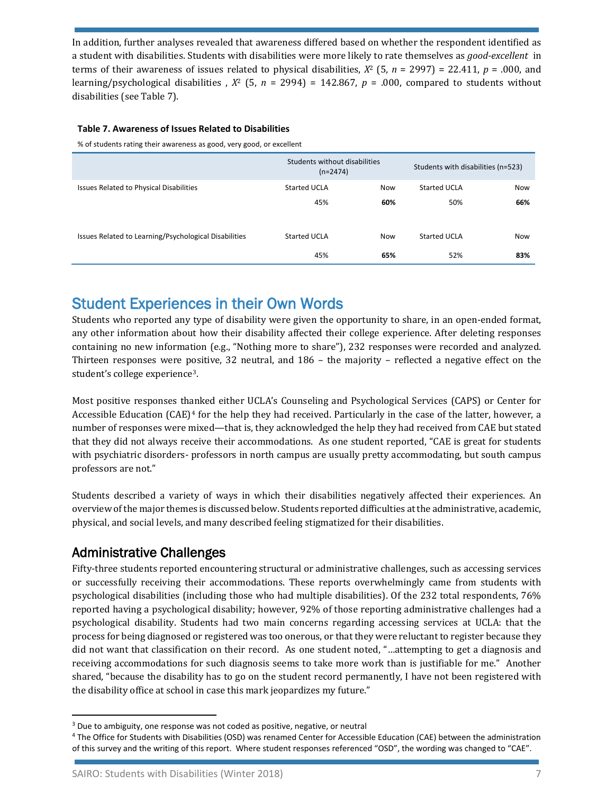In addition, further analyses revealed that awareness differed based on whether the respondent identified as a student with disabilities. Students with disabilities were more likely to rate themselves as *good-excellent* in terms of their awareness of issues related to physical disabilities,  $X^2$  (5,  $n = 2997$ ) = 22.411,  $p = .000$ , and learning/psychological disabilities ,  $X^2$  (5,  $n = 2994$ ) = 142.867,  $p = .000$ , compared to students without disabilities (see Table 7).

#### **Table 7. Awareness of Issues Related to Disabilities**

% of students rating their awareness as good, very good, or excellent

|                                                       | Students without disabilities<br>$(n=2474)$ |            | Students with disabilities (n=523) |            |
|-------------------------------------------------------|---------------------------------------------|------------|------------------------------------|------------|
| Issues Related to Physical Disabilities               | Started UCLA                                | <b>Now</b> | Started UCLA                       | <b>Now</b> |
|                                                       | 45%                                         | 60%        | 50%                                | 66%        |
|                                                       |                                             |            |                                    |            |
| Issues Related to Learning/Psychological Disabilities | Started UCLA                                | <b>Now</b> | Started UCLA                       | <b>Now</b> |
|                                                       | 45%                                         | 65%        | 52%                                | 83%        |

# Student Experiences in their Own Words

Students who reported any type of disability were given the opportunity to share, in an open-ended format, any other information about how their disability affected their college experience. After deleting responses containing no new information (e.g., "Nothing more to share"), 232 responses were recorded and analyzed. Thirteen responses were positive, 32 neutral, and 186 – the majority – reflected a negative effect on the student's college experience[3](#page-6-0).

Most positive responses th[an](#page-6-1)ked either UCLA's Counseling and Psychological Services (CAPS) or Center for Accessible Education (CAE)<sup>4</sup> for the help they had received. Particularly in the case of the latter, however, a number of responses were mixed—that is, they acknowledged the help they had received from CAE but stated that they did not always receive their accommodations. As one student reported, "CAE is great for students with psychiatric disorders- professors in north campus are usually pretty accommodating, but south campus professors are not."

Students described a variety of ways in which their disabilities negatively affected their experiences. An overview of the major themes is discussed below. Students reported difficulties at the administrative, academic, physical, and social levels, and many described feeling stigmatized for their disabilities.

#### Administrative Challenges

Fifty-three students reported encountering structural or administrative challenges, such as accessing services or successfully receiving their accommodations. These reports overwhelmingly came from students with psychological disabilities (including those who had multiple disabilities). Of the 232 total respondents, 76% reported having a psychological disability; however, 92% of those reporting administrative challenges had a psychological disability. Students had two main concerns regarding accessing services at UCLA: that the process for being diagnosed or registered was too onerous, or that they were reluctant to register because they did not want that classification on their record. As one student noted, "…attempting to get a diagnosis and receiving accommodations for such diagnosis seems to take more work than is justifiable for me." Another shared, "because the disability has to go on the student record permanently, I have not been registered with the disability office at school in case this mark jeopardizes my future."

<span id="page-6-0"></span><sup>&</sup>lt;sup>3</sup> Due to ambiguity, one response was not coded as positive, negative, or neutral

<span id="page-6-1"></span><sup>4</sup> The Office for Students with Disabilities (OSD) was renamed Center for Accessible Education (CAE) between the administration of this survey and the writing of this report. Where student responses referenced "OSD", the wording was changed to "CAE".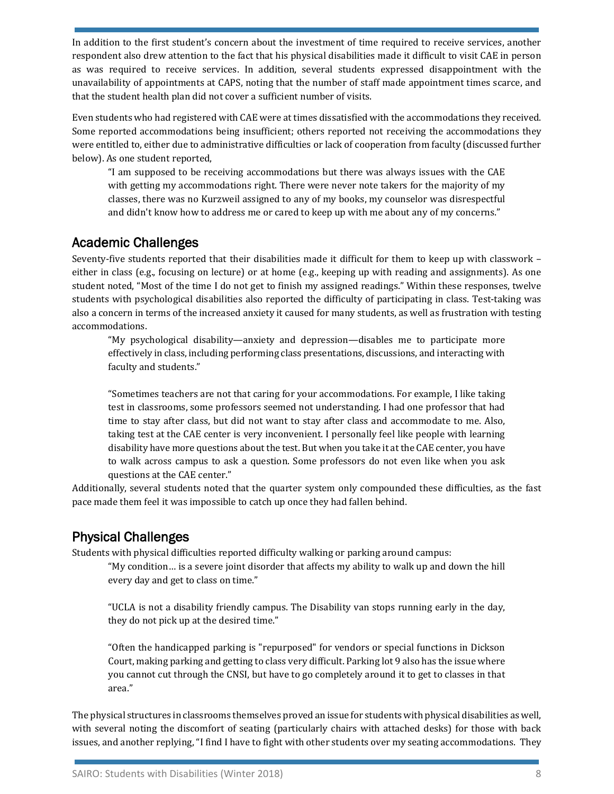In addition to the first student's concern about the investment of time required to receive services, another respondent also drew attention to the fact that his physical disabilities made it difficult to visit CAE in person as was required to receive services. In addition, several students expressed disappointment with the unavailability of appointments at CAPS, noting that the number of staff made appointment times scarce, and that the student health plan did not cover a sufficient number of visits.

Even students who had registered with CAE were at times dissatisfied with the accommodations they received. Some reported accommodations being insufficient; others reported not receiving the accommodations they were entitled to, either due to administrative difficulties or lack of cooperation from faculty (discussed further below). As one student reported,

"I am supposed to be receiving accommodations but there was always issues with the CAE with getting my accommodations right. There were never note takers for the majority of my classes, there was no Kurzweil assigned to any of my books, my counselor was disrespectful and didn't know how to address me or cared to keep up with me about any of my concerns."

# Academic Challenges

Seventy-five students reported that their disabilities made it difficult for them to keep up with classwork – either in class (e.g., focusing on lecture) or at home (e.g., keeping up with reading and assignments). As one student noted, "Most of the time I do not get to finish my assigned readings." Within these responses, twelve students with psychological disabilities also reported the difficulty of participating in class. Test-taking was also a concern in terms of the increased anxiety it caused for many students, as well as frustration with testing accommodations.

"My psychological disability—anxiety and depression—disables me to participate more effectively in class, including performing class presentations, discussions, and interacting with faculty and students."

"Sometimes teachers are not that caring for your accommodations. For example, I like taking test in classrooms, some professors seemed not understanding. I had one professor that had time to stay after class, but did not want to stay after class and accommodate to me. Also, taking test at the CAE center is very inconvenient. I personally feel like people with learning disability have more questions about the test. But when you take it at the CAE center, you have to walk across campus to ask a question. Some professors do not even like when you ask questions at the CAE center."

Additionally, several students noted that the quarter system only compounded these difficulties, as the fast pace made them feel it was impossible to catch up once they had fallen behind.

# Physical Challenges

Students with physical difficulties reported difficulty walking or parking around campus:

"My condition… is a severe joint disorder that affects my ability to walk up and down the hill every day and get to class on time."

"UCLA is not a disability friendly campus. The Disability van stops running early in the day, they do not pick up at the desired time."

"Often the handicapped parking is "repurposed" for vendors or special functions in Dickson Court, making parking and getting to class very difficult. Parking lot 9 also has the issue where you cannot cut through the CNSI, but have to go completely around it to get to classes in that area."

The physical structures in classrooms themselves proved an issue for students with physical disabilities as well, with several noting the discomfort of seating (particularly chairs with attached desks) for those with back issues, and another replying, "I find I have to fight with other students over my seating accommodations. They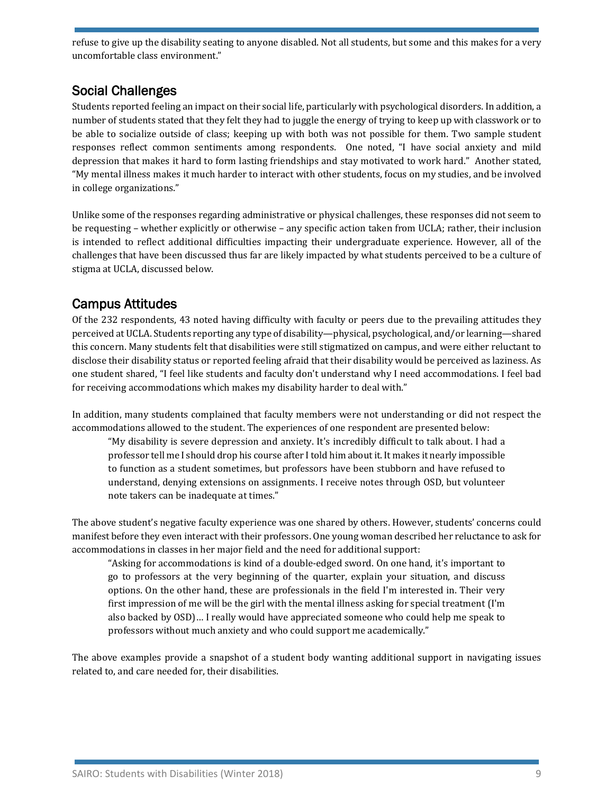refuse to give up the disability seating to anyone disabled. Not all students, but some and this makes for a very uncomfortable class environment."

# Social Challenges

Students reported feeling an impact on their social life, particularly with psychological disorders. In addition, a number of students stated that they felt they had to juggle the energy of trying to keep up with classwork or to be able to socialize outside of class; keeping up with both was not possible for them. Two sample student responses reflect common sentiments among respondents. One noted, "I have social anxiety and mild depression that makes it hard to form lasting friendships and stay motivated to work hard." Another stated, "My mental illness makes it much harder to interact with other students, focus on my studies, and be involved in college organizations."

Unlike some of the responses regarding administrative or physical challenges, these responses did not seem to be requesting – whether explicitly or otherwise – any specific action taken from UCLA; rather, their inclusion is intended to reflect additional difficulties impacting their undergraduate experience. However, all of the challenges that have been discussed thus far are likely impacted by what students perceived to be a culture of stigma at UCLA, discussed below.

# Campus Attitudes

Of the 232 respondents, 43 noted having difficulty with faculty or peers due to the prevailing attitudes they perceived at UCLA. Students reporting any type of disability—physical, psychological, and/or learning—shared this concern. Many students felt that disabilities were still stigmatized on campus, and were either reluctant to disclose their disability status or reported feeling afraid that their disability would be perceived as laziness. As one student shared, "I feel like students and faculty don't understand why I need accommodations. I feel bad for receiving accommodations which makes my disability harder to deal with."

In addition, many students complained that faculty members were not understanding or did not respect the accommodations allowed to the student. The experiences of one respondent are presented below:

"My disability is severe depression and anxiety. It's incredibly difficult to talk about. I had a professor tell me I should drop his course after I told him about it. It makes it nearly impossible to function as a student sometimes, but professors have been stubborn and have refused to understand, denying extensions on assignments. I receive notes through OSD, but volunteer note takers can be inadequate at times."

The above student's negative faculty experience was one shared by others. However, students' concerns could manifest before they even interact with their professors. One young woman described her reluctance to ask for accommodations in classes in her major field and the need for additional support:

"Asking for accommodations is kind of a double-edged sword. On one hand, it's important to go to professors at the very beginning of the quarter, explain your situation, and discuss options. On the other hand, these are professionals in the field I'm interested in. Their very first impression of me will be the girl with the mental illness asking for special treatment (I'm also backed by OSD)… I really would have appreciated someone who could help me speak to professors without much anxiety and who could support me academically."

The above examples provide a snapshot of a student body wanting additional support in navigating issues related to, and care needed for, their disabilities.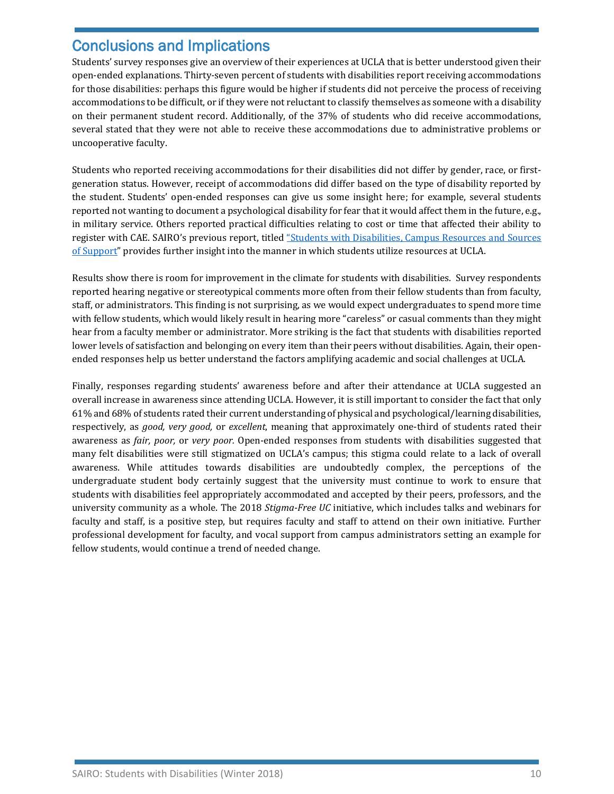# Conclusions and Implications

Students' survey responses give an overview of their experiences at UCLA that is better understood given their open-ended explanations. Thirty-seven percent of students with disabilities report receiving accommodations for those disabilities: perhaps this figure would be higher if students did not perceive the process of receiving accommodations to be difficult, or if they were not reluctant to classify themselves as someone with a disability on their permanent student record. Additionally, of the 37% of students who did receive accommodations, several stated that they were not able to receive these accommodations due to administrative problems or uncooperative faculty.

Students who reported receiving accommodations for their disabilities did not differ by gender, race, or firstgeneration status. However, receipt of accommodations did differ based on the type of disability reported by the student. Students' open-ended responses can give us some insight here; for example, several students reported not wanting to document a psychological disability for fear that it would affect them in the future, e.g., in military service. Others reported practical difficulties relating to cost or time that affected their ability to register with CAE. SAIRO's previous report, titled ["Students with Disabilities, Campus Resources and Sources](http://www.sairo.ucla.edu/Portals/54/Documents/Briefs%20and%20Reports/Briefs/Student%20Studies/2015SwDSupport.pdf)  [of Support"](http://www.sairo.ucla.edu/Portals/54/Documents/Briefs%20and%20Reports/Briefs/Student%20Studies/2015SwDSupport.pdf) provides further insight into the manner in which students utilize resources at UCLA.

Results show there is room for improvement in the climate for students with disabilities. Survey respondents reported hearing negative or stereotypical comments more often from their fellow students than from faculty, staff, or administrators. This finding is not surprising, as we would expect undergraduates to spend more time with fellow students, which would likely result in hearing more "careless" or casual comments than they might hear from a faculty member or administrator. More striking is the fact that students with disabilities reported lower levels of satisfaction and belonging on every item than their peers without disabilities. Again, their openended responses help us better understand the factors amplifying academic and social challenges at UCLA.

Finally, responses regarding students' awareness before and after their attendance at UCLA suggested an overall increase in awareness since attending UCLA. However, it is still important to consider the fact that only 61% and 68% of students rated their current understanding of physical and psychological/learning disabilities, respectively, as *good, very good,* or *excellent*, meaning that approximately one-third of students rated their awareness as *fair, poor,* or *very poor.* Open-ended responses from students with disabilities suggested that many felt disabilities were still stigmatized on UCLA's campus; this stigma could relate to a lack of overall awareness. While attitudes towards disabilities are undoubtedly complex, the perceptions of the undergraduate student body certainly suggest that the university must continue to work to ensure that students with disabilities feel appropriately accommodated and accepted by their peers, professors, and the university community as a whole. The 2018 *Stigma-Free UC* initiative, which includes talks and webinars for faculty and staff, is a positive step, but requires faculty and staff to attend on their own initiative. Further professional development for faculty, and vocal support from campus administrators setting an example for fellow students, would continue a trend of needed change.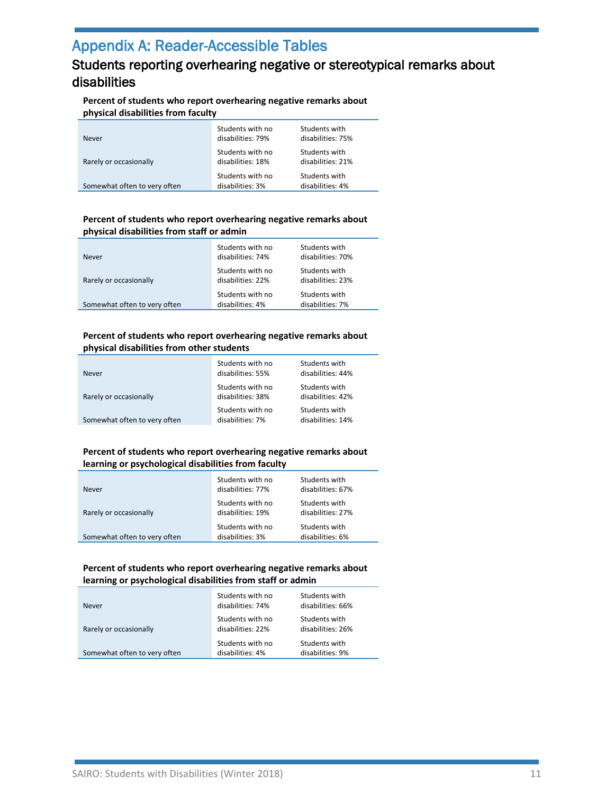# Appendix A: Reader-Accessible Tables

# <span id="page-10-0"></span>Students reporting overhearing negative or stereotypical remarks about disabilities

#### **Percent of students who report overhearing negative remarks about physical disabilities from faculty**

| Never                        | Students with no<br>disabilities: 79% | Students with<br>disabilities: 75% |
|------------------------------|---------------------------------------|------------------------------------|
| Rarely or occasionally       | Students with no<br>disabilities: 18% | Students with<br>disabilities: 21% |
| Somewhat often to very often | Students with no<br>disabilities: 3%  | Students with<br>disabilities: 4%  |

#### **Percent of students who report overhearing negative remarks about physical disabilities from staff or admin**

| <b>Never</b>                 | Students with no<br>disabilities: 74% | Students with<br>disabilities: 70% |  |  |
|------------------------------|---------------------------------------|------------------------------------|--|--|
| Rarely or occasionally       | Students with no<br>disabilities: 22% | Students with<br>disabilities: 23% |  |  |
| Somewhat often to very often | Students with no<br>disabilities: 4%  | Students with<br>disabilities: 7%  |  |  |

#### **Percent of students who report overhearing negative remarks about physical disabilities from other students**

| <b>Never</b>                 | Students with no<br>disabilities: 55% | Students with<br>disabilities: 44% |
|------------------------------|---------------------------------------|------------------------------------|
| Rarely or occasionally       | Students with no<br>disabilities: 38% | Students with<br>disabilities: 42% |
| Somewhat often to very often | Students with no<br>disabilities: 7%  | Students with<br>disabilities: 14% |

#### **Percent of students who report overhearing negative remarks about learning or psychological disabilities from faculty**

| Never                        | Students with no<br>disabilities: 77% | Students with<br>disabilities: 67% |
|------------------------------|---------------------------------------|------------------------------------|
| Rarely or occasionally       | Students with no<br>disabilities: 19% | Students with<br>disabilities: 27% |
| Somewhat often to very often | Students with no<br>disabilities: 3%  | Students with<br>disabilities: 6%  |

#### **Percent of students who report overhearing negative remarks about learning or psychological disabilities from staff or admin**

| <b>Never</b>                 | Students with no<br>disabilities: 74% | Students with<br>disabilities: 66% |
|------------------------------|---------------------------------------|------------------------------------|
| Rarely or occasionally       | Students with no<br>disabilities: 22% | Students with<br>disabilities: 26% |
| Somewhat often to very often | Students with no<br>disabilities: 4%  | Students with<br>disabilities: 9%  |